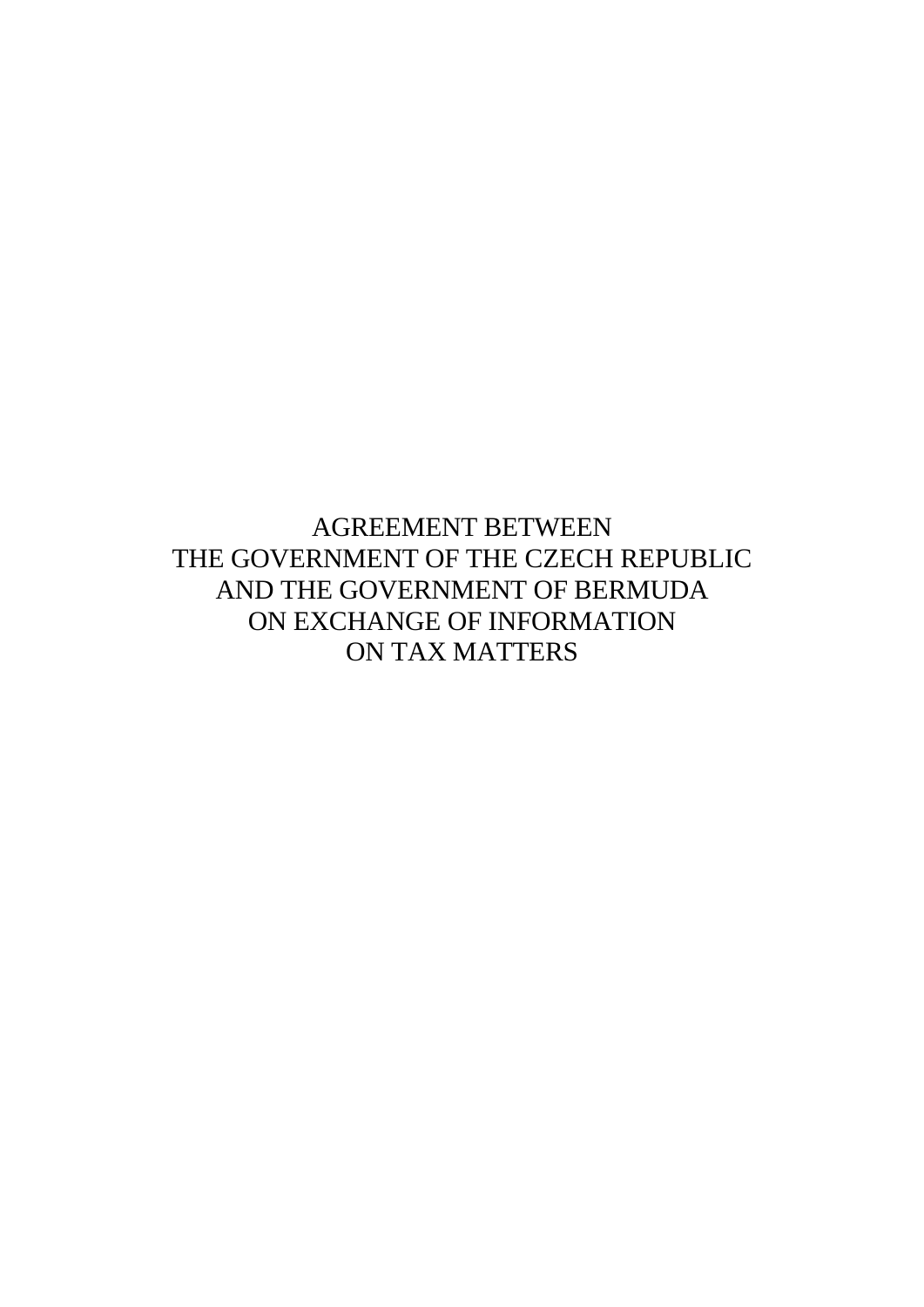AGREEMENT BETWEEN THE GOVERNMENT OF THE CZECH REPUBLIC AND THE GOVERNMENT OF BERMUDA ON EXCHANGE OF INFORMATION ON TAX MATTERS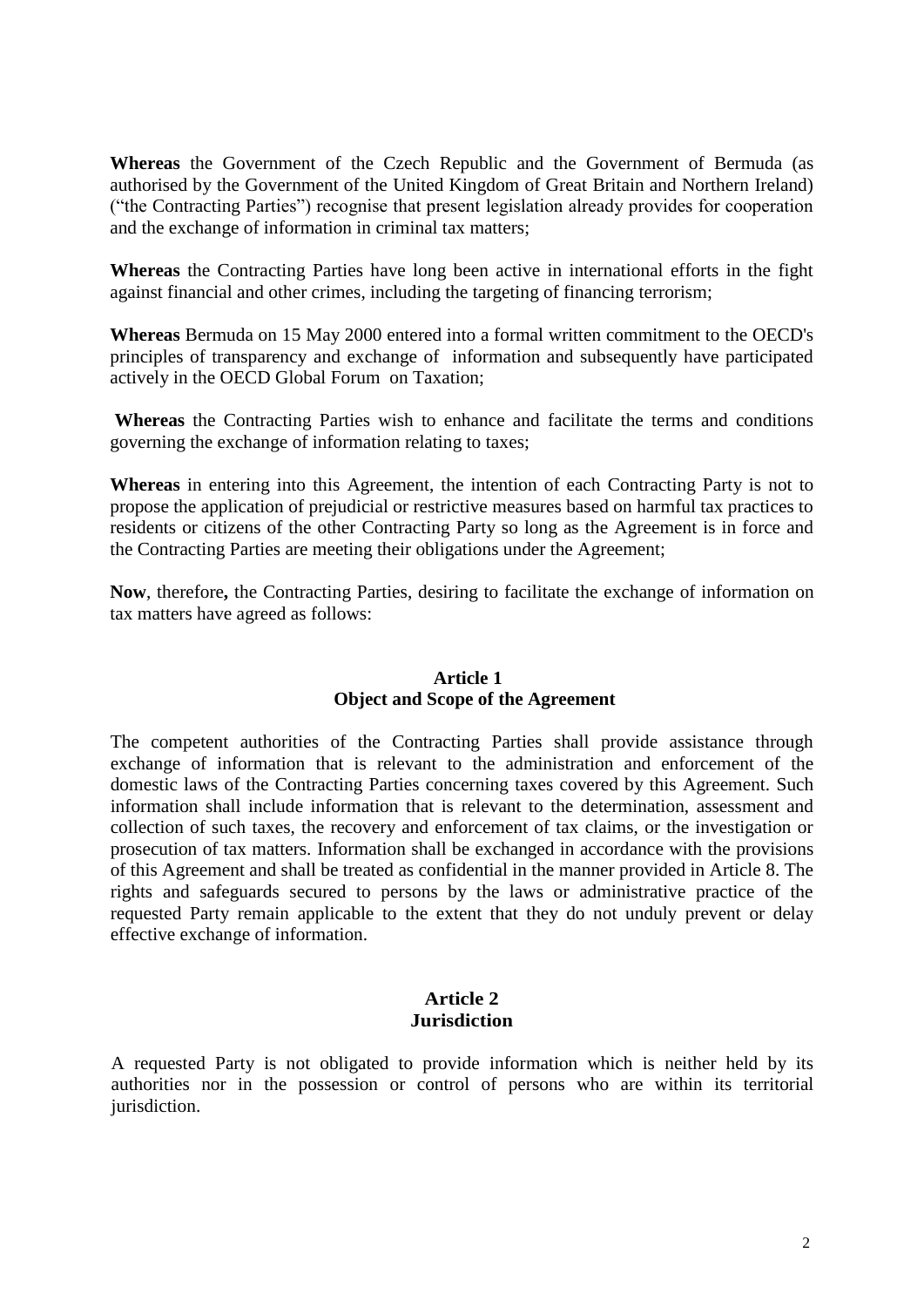**Whereas** the Government of the Czech Republic and the Government of Bermuda (as authorised by the Government of the United Kingdom of Great Britain and Northern Ireland) ("the Contracting Parties") recognise that present legislation already provides for cooperation and the exchange of information in criminal tax matters;

**Whereas** the Contracting Parties have long been active in international efforts in the fight against financial and other crimes, including the targeting of financing terrorism;

**Whereas** Bermuda on 15 May 2000 entered into a formal written commitment to the OECD's principles of transparency and exchange of information and subsequently have participated actively in the OECD Global Forum on Taxation;

**Whereas** the Contracting Parties wish to enhance and facilitate the terms and conditions governing the exchange of information relating to taxes;

**Whereas** in entering into this Agreement, the intention of each Contracting Party is not to propose the application of prejudicial or restrictive measures based on harmful tax practices to residents or citizens of the other Contracting Party so long as the Agreement is in force and the Contracting Parties are meeting their obligations under the Agreement;

**Now**, therefore**,** the Contracting Parties, desiring to facilitate the exchange of information on tax matters have agreed as follows:

### **Article 1 Object and Scope of the Agreement**

The competent authorities of the Contracting Parties shall provide assistance through exchange of information that is relevant to the administration and enforcement of the domestic laws of the Contracting Parties concerning taxes covered by this Agreement. Such information shall include information that is relevant to the determination, assessment and collection of such taxes, the recovery and enforcement of tax claims, or the investigation or prosecution of tax matters. Information shall be exchanged in accordance with the provisions of this Agreement and shall be treated as confidential in the manner provided in Article 8. The rights and safeguards secured to persons by the laws or administrative practice of the requested Party remain applicable to the extent that they do not unduly prevent or delay effective exchange of information.

#### **Article 2 Jurisdiction**

A requested Party is not obligated to provide information which is neither held by its authorities nor in the possession or control of persons who are within its territorial jurisdiction.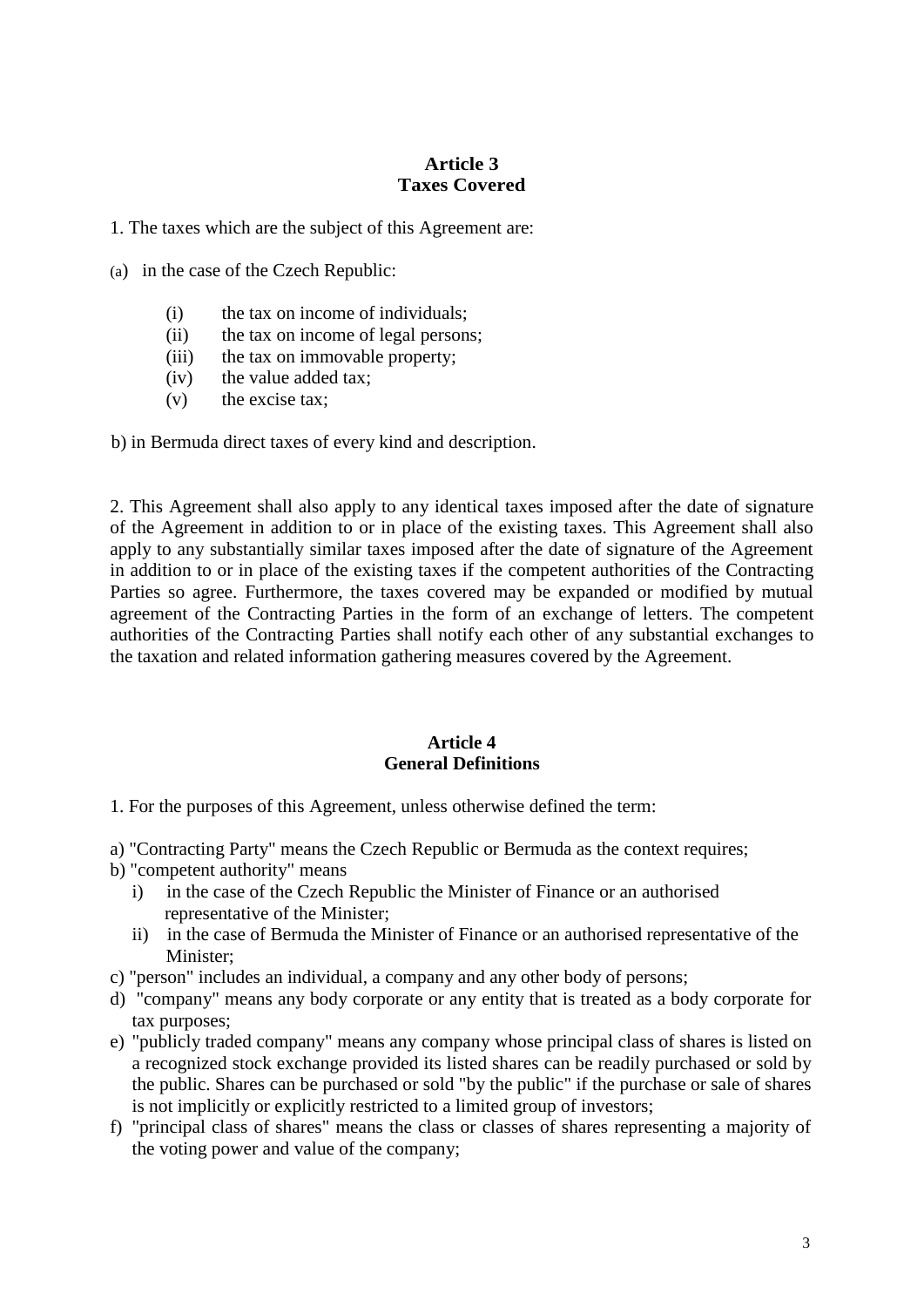## **Article 3 Taxes Covered**

1. The taxes which are the subject of this Agreement are:

(a) in the case of the Czech Republic:

- (i) the tax on income of individuals;
- (ii) the tax on income of legal persons;
- (iii) the tax on immovable property;
- (iv) the value added tax;
- (v) the excise tax;

b) in Bermuda direct taxes of every kind and description.

2. This Agreement shall also apply to any identical taxes imposed after the date of signature of the Agreement in addition to or in place of the existing taxes. This Agreement shall also apply to any substantially similar taxes imposed after the date of signature of the Agreement in addition to or in place of the existing taxes if the competent authorities of the Contracting Parties so agree. Furthermore, the taxes covered may be expanded or modified by mutual agreement of the Contracting Parties in the form of an exchange of letters. The competent authorities of the Contracting Parties shall notify each other of any substantial exchanges to the taxation and related information gathering measures covered by the Agreement.

### **Article 4 General Definitions**

1. For the purposes of this Agreement, unless otherwise defined the term:

- a) "Contracting Party" means the Czech Republic or Bermuda as the context requires;
- b) "competent authority" means
	- i) in the case of the Czech Republic the Minister of Finance or an authorised representative of the Minister;
	- ii) in the case of Bermuda the Minister of Finance or an authorised representative of the Minister;
- c) "person" includes an individual, a company and any other body of persons;
- d) "company" means any body corporate or any entity that is treated as a body corporate for tax purposes;
- e) "publicly traded company" means any company whose principal class of shares is listed on a recognized stock exchange provided its listed shares can be readily purchased or sold by the public. Shares can be purchased or sold "by the public" if the purchase or sale of shares is not implicitly or explicitly restricted to a limited group of investors;
- f) "principal class of shares" means the class or classes of shares representing a majority of the voting power and value of the company;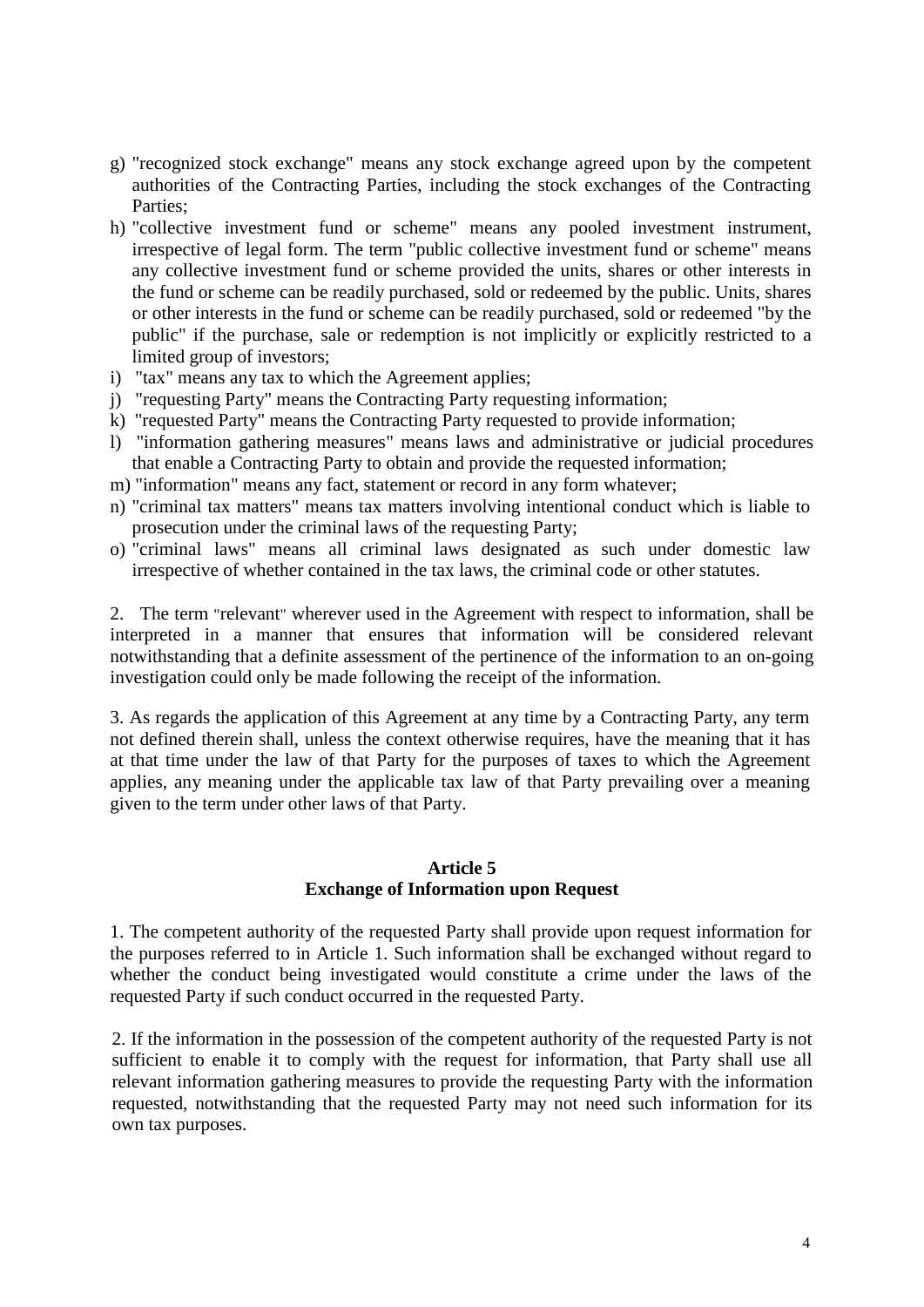- g) "recognized stock exchange" means any stock exchange agreed upon by the competent authorities of the Contracting Parties, including the stock exchanges of the Contracting Parties;
- h) "collective investment fund or scheme" means any pooled investment instrument, irrespective of legal form. The term "public collective investment fund or scheme" means any collective investment fund or scheme provided the units, shares or other interests in the fund or scheme can be readily purchased, sold or redeemed by the public. Units, shares or other interests in the fund or scheme can be readily purchased, sold or redeemed "by the public" if the purchase, sale or redemption is not implicitly or explicitly restricted to a limited group of investors;
- i) "tax" means any tax to which the Agreement applies;
- j) "requesting Party" means the Contracting Party requesting information;
- k) "requested Party" means the Contracting Party requested to provide information;
- l) "information gathering measures" means laws and administrative or judicial procedures that enable a Contracting Party to obtain and provide the requested information;
- m) "information" means any fact, statement or record in any form whatever;
- n) "criminal tax matters" means tax matters involving intentional conduct which is liable to prosecution under the criminal laws of the requesting Party;
- o) "criminal laws" means all criminal laws designated as such under domestic law irrespective of whether contained in the tax laws, the criminal code or other statutes.

2. The term "relevant" wherever used in the Agreement with respect to information, shall be interpreted in a manner that ensures that information will be considered relevant notwithstanding that a definite assessment of the pertinence of the information to an on-going investigation could only be made following the receipt of the information.

3. As regards the application of this Agreement at any time by a Contracting Party, any term not defined therein shall, unless the context otherwise requires, have the meaning that it has at that time under the law of that Party for the purposes of taxes to which the Agreement applies, any meaning under the applicable tax law of that Party prevailing over a meaning given to the term under other laws of that Party.

## **Article 5 Exchange of Information upon Request**

1. The competent authority of the requested Party shall provide upon request information for the purposes referred to in Article 1. Such information shall be exchanged without regard to whether the conduct being investigated would constitute a crime under the laws of the requested Party if such conduct occurred in the requested Party.

2. If the information in the possession of the competent authority of the requested Party is not sufficient to enable it to comply with the request for information, that Party shall use all relevant information gathering measures to provide the requesting Party with the information requested, notwithstanding that the requested Party may not need such information for its own tax purposes.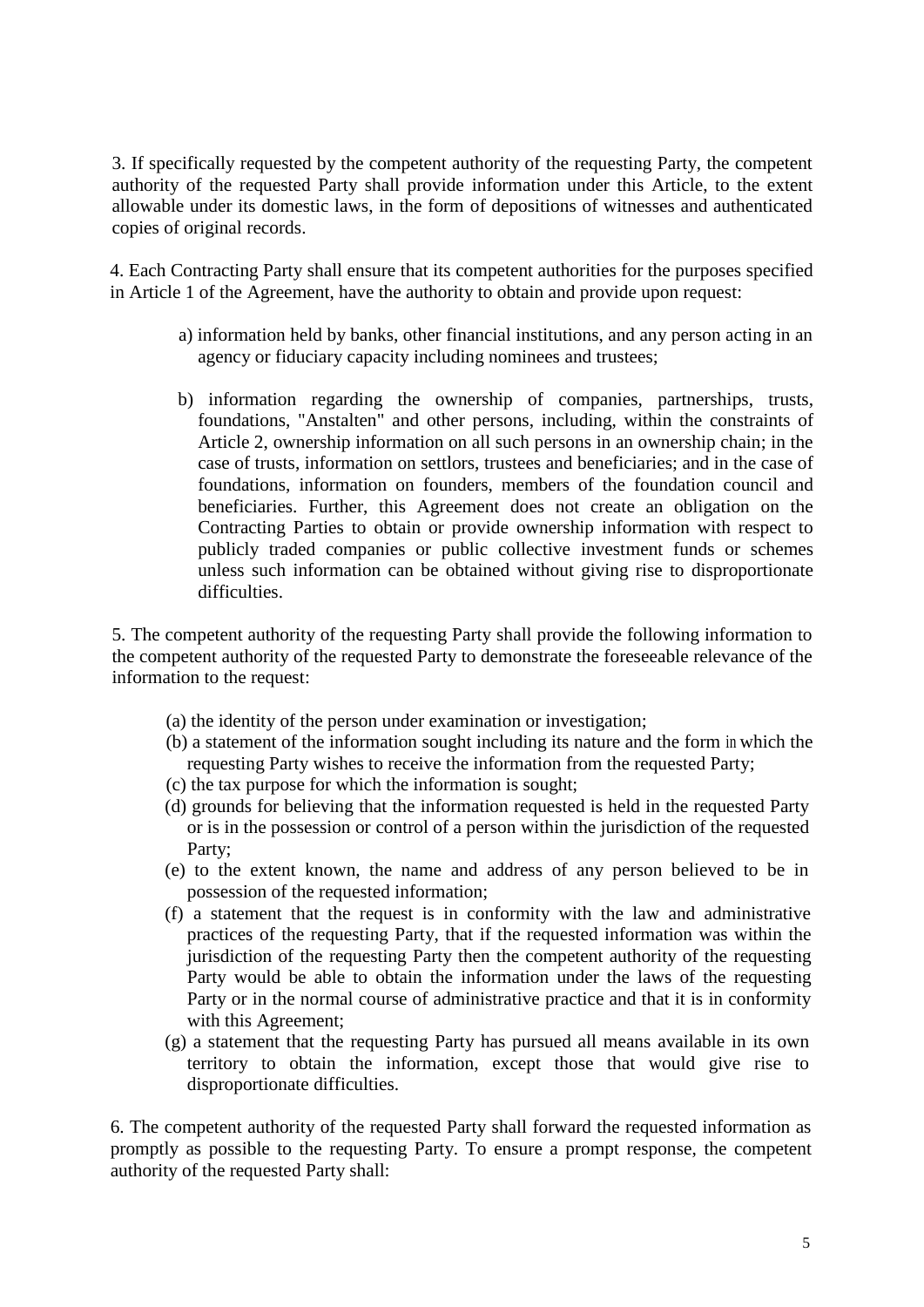3. If specifically requested by the competent authority of the requesting Party, the competent authority of the requested Party shall provide information under this Article, to the extent allowable under its domestic laws, in the form of depositions of witnesses and authenticated copies of original records.

4. Each Contracting Party shall ensure that its competent authorities for the purposes specified in Article 1 of the Agreement, have the authority to obtain and provide upon request:

- a) information held by banks, other financial institutions, and any person acting in an agency or fiduciary capacity including nominees and trustees;
- b) information regarding the ownership of companies, partnerships, trusts, foundations, "Anstalten" and other persons, including, within the constraints of Article 2, ownership information on all such persons in an ownership chain; in the case of trusts, information on settlors, trustees and beneficiaries; and in the case of foundations, information on founders, members of the foundation council and beneficiaries. Further, this Agreement does not create an obligation on the Contracting Parties to obtain or provide ownership information with respect to publicly traded companies or public collective investment funds or schemes unless such information can be obtained without giving rise to disproportionate difficulties.

5. The competent authority of the requesting Party shall provide the following information to the competent authority of the requested Party to demonstrate the foreseeable relevance of the information to the request:

- (a) the identity of the person under examination or investigation;
- (b) a statement of the information sought including its nature and the form in which the requesting Party wishes to receive the information from the requested Party;
- (c) the tax purpose for which the information is sought;
- (d) grounds for believing that the information requested is held in the requested Party or is in the possession or control of a person within the jurisdiction of the requested Party;
- (e) to the extent known, the name and address of any person believed to be in possession of the requested information;
- (f) a statement that the request is in conformity with the law and administrative practices of the requesting Party, that if the requested information was within the jurisdiction of the requesting Party then the competent authority of the requesting Party would be able to obtain the information under the laws of the requesting Party or in the normal course of administrative practice and that it is in conformity with this Agreement;
- (g) a statement that the requesting Party has pursued all means available in its own territory to obtain the information, except those that would give rise to disproportionate difficulties.

6. The competent authority of the requested Party shall forward the requested information as promptly as possible to the requesting Party. To ensure a prompt response, the competent authority of the requested Party shall: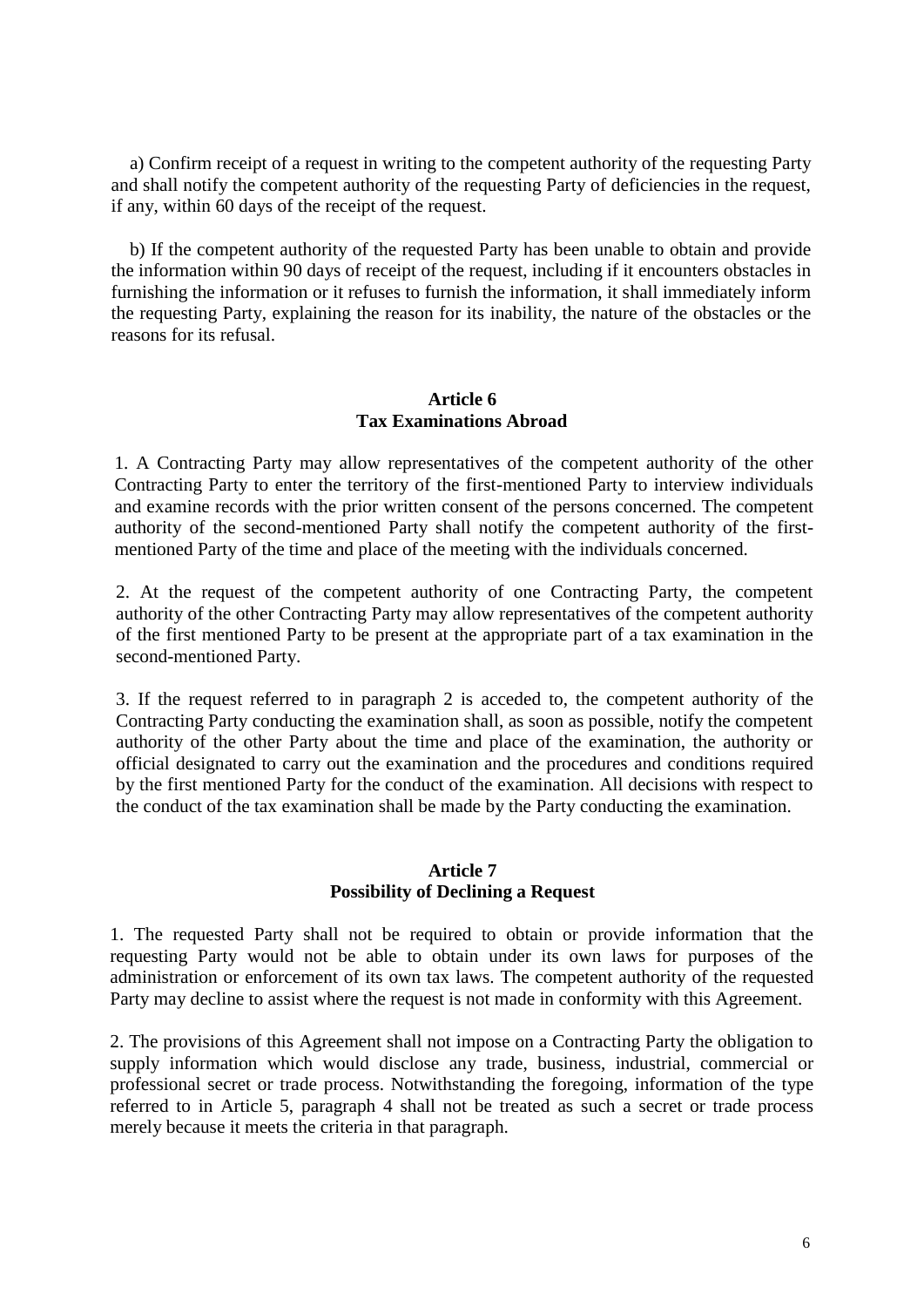a) Confirm receipt of a request in writing to the competent authority of the requesting Party and shall notify the competent authority of the requesting Party of deficiencies in the request, if any, within 60 days of the receipt of the request.

 b) If the competent authority of the requested Party has been unable to obtain and provide the information within 90 days of receipt of the request, including if it encounters obstacles in furnishing the information or it refuses to furnish the information, it shall immediately inform the requesting Party, explaining the reason for its inability, the nature of the obstacles or the reasons for its refusal.

#### **Article 6 Tax Examinations Abroad**

1. A Contracting Party may allow representatives of the competent authority of the other Contracting Party to enter the territory of the first-mentioned Party to interview individuals and examine records with the prior written consent of the persons concerned. The competent authority of the second-mentioned Party shall notify the competent authority of the firstmentioned Party of the time and place of the meeting with the individuals concerned.

2. At the request of the competent authority of one Contracting Party, the competent authority of the other Contracting Party may allow representatives of the competent authority of the first mentioned Party to be present at the appropriate part of a tax examination in the second-mentioned Party.

3. If the request referred to in paragraph 2 is acceded to, the competent authority of the Contracting Party conducting the examination shall, as soon as possible, notify the competent authority of the other Party about the time and place of the examination, the authority or official designated to carry out the examination and the procedures and conditions required by the first mentioned Party for the conduct of the examination. All decisions with respect to the conduct of the tax examination shall be made by the Party conducting the examination.

### **Article 7 Possibility of Declining a Request**

1. The requested Party shall not be required to obtain or provide information that the requesting Party would not be able to obtain under its own laws for purposes of the administration or enforcement of its own tax laws. The competent authority of the requested Party may decline to assist where the request is not made in conformity with this Agreement.

2. The provisions of this Agreement shall not impose on a Contracting Party the obligation to supply information which would disclose any trade, business, industrial, commercial or professional secret or trade process. Notwithstanding the foregoing, information of the type referred to in Article 5, paragraph 4 shall not be treated as such a secret or trade process merely because it meets the criteria in that paragraph.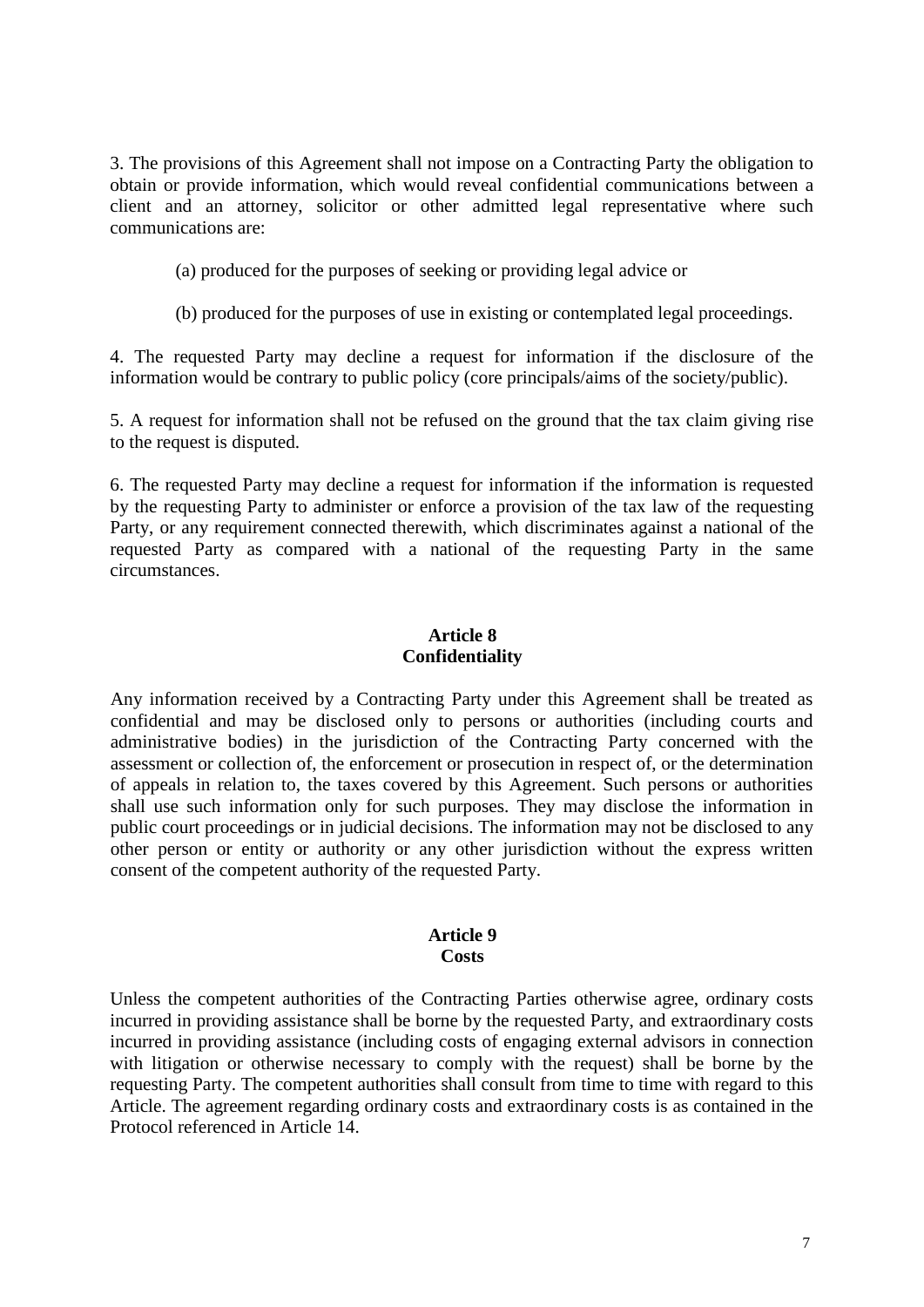3. The provisions of this Agreement shall not impose on a Contracting Party the obligation to obtain or provide information, which would reveal confidential communications between a client and an attorney, solicitor or other admitted legal representative where such communications are:

(a) produced for the purposes of seeking or providing legal advice or

(b) produced for the purposes of use in existing or contemplated legal proceedings.

4. The requested Party may decline a request for information if the disclosure of the information would be contrary to public policy (core principals/aims of the society/public).

5. A request for information shall not be refused on the ground that the tax claim giving rise to the request is disputed.

6. The requested Party may decline a request for information if the information is requested by the requesting Party to administer or enforce a provision of the tax law of the requesting Party, or any requirement connected therewith, which discriminates against a national of the requested Party as compared with a national of the requesting Party in the same circumstances.

## **Article 8 Confidentiality**

Any information received by a Contracting Party under this Agreement shall be treated as confidential and may be disclosed only to persons or authorities (including courts and administrative bodies) in the jurisdiction of the Contracting Party concerned with the assessment or collection of, the enforcement or prosecution in respect of, or the determination of appeals in relation to, the taxes covered by this Agreement. Such persons or authorities shall use such information only for such purposes. They may disclose the information in public court proceedings or in judicial decisions. The information may not be disclosed to any other person or entity or authority or any other jurisdiction without the express written consent of the competent authority of the requested Party.

#### **Article 9 Costs**

Unless the competent authorities of the Contracting Parties otherwise agree, ordinary costs incurred in providing assistance shall be borne by the requested Party, and extraordinary costs incurred in providing assistance (including costs of engaging external advisors in connection with litigation or otherwise necessary to comply with the request) shall be borne by the requesting Party. The competent authorities shall consult from time to time with regard to this Article. The agreement regarding ordinary costs and extraordinary costs is as contained in the Protocol referenced in Article 14.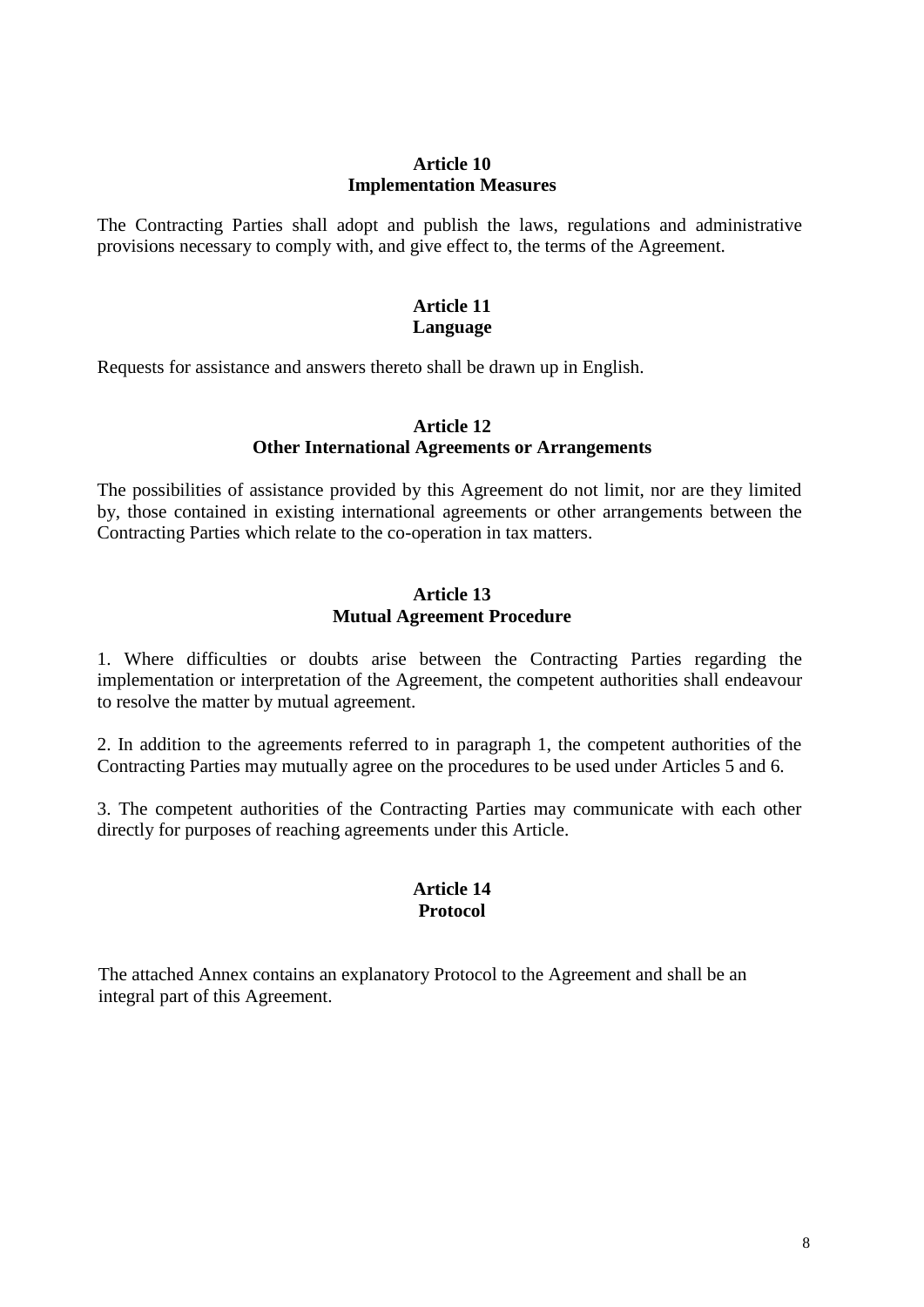## **Article 10 Implementation Measures**

The Contracting Parties shall adopt and publish the laws, regulations and administrative provisions necessary to comply with, and give effect to, the terms of the Agreement.

## **Article 11 Language**

Requests for assistance and answers thereto shall be drawn up in English.

## **Article 12 Other International Agreements or Arrangements**

The possibilities of assistance provided by this Agreement do not limit, nor are they limited by, those contained in existing international agreements or other arrangements between the Contracting Parties which relate to the co-operation in tax matters.

#### **Article 13 Mutual Agreement Procedure**

1. Where difficulties or doubts arise between the Contracting Parties regarding the implementation or interpretation of the Agreement, the competent authorities shall endeavour to resolve the matter by mutual agreement.

2. In addition to the agreements referred to in paragraph 1, the competent authorities of the Contracting Parties may mutually agree on the procedures to be used under Articles 5 and 6.

3. The competent authorities of the Contracting Parties may communicate with each other directly for purposes of reaching agreements under this Article.

## **Article 14 Protocol**

The attached Annex contains an explanatory Protocol to the Agreement and shall be an integral part of this Agreement.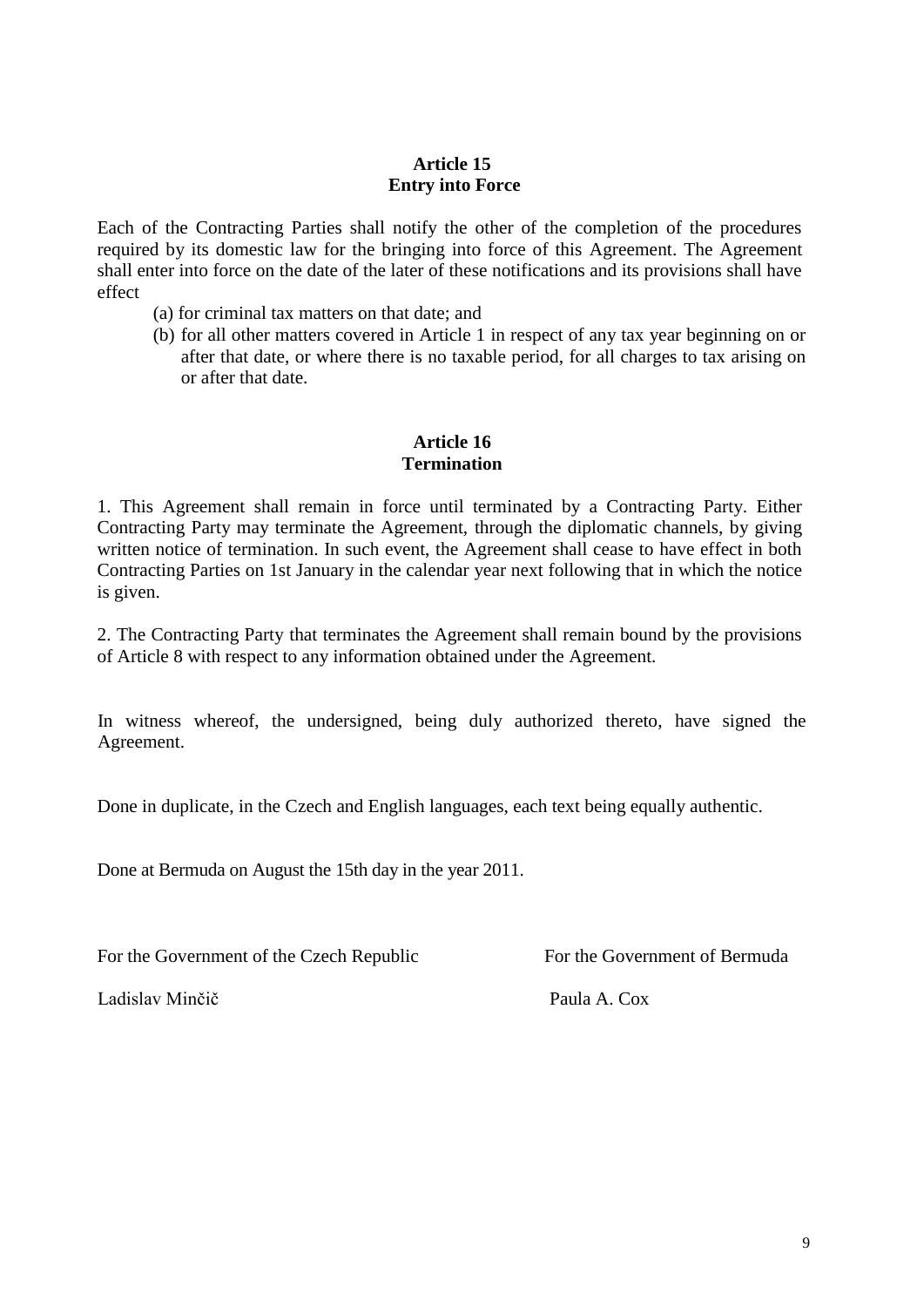# **Article 15 Entry into Force**

Each of the Contracting Parties shall notify the other of the completion of the procedures required by its domestic law for the bringing into force of this Agreement. The Agreement shall enter into force on the date of the later of these notifications and its provisions shall have effect

- (a) for criminal tax matters on that date; and
- (b) for all other matters covered in Article 1 in respect of any tax year beginning on or after that date, or where there is no taxable period, for all charges to tax arising on or after that date.

## **Article 16 Termination**

1. This Agreement shall remain in force until terminated by a Contracting Party. Either Contracting Party may terminate the Agreement, through the diplomatic channels, by giving written notice of termination. In such event, the Agreement shall cease to have effect in both Contracting Parties on 1st January in the calendar year next following that in which the notice is given.

2. The Contracting Party that terminates the Agreement shall remain bound by the provisions of Article 8 with respect to any information obtained under the Agreement.

In witness whereof, the undersigned, being duly authorized thereto, have signed the Agreement.

Done in duplicate, in the Czech and English languages, each text being equally authentic.

Done at Bermuda on August the 15th day in the year 2011.

For the Government of the Czech Republic For the Government of Bermuda

Ladislav Minčič Paula A. Cox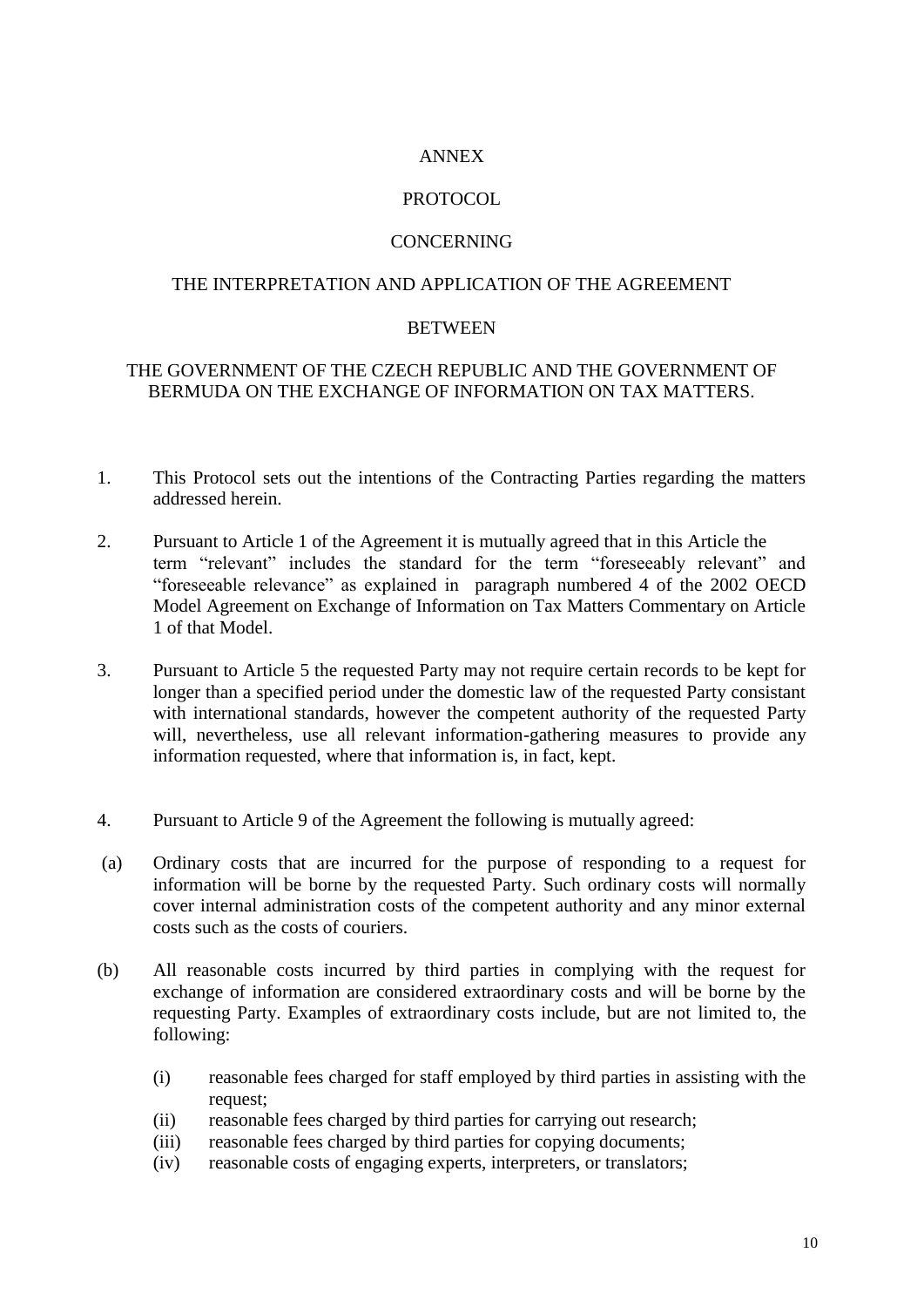## ANNEX

## PROTOCOL.

## **CONCERNING**

### THE INTERPRETATION AND APPLICATION OF THE AGREEMENT

#### **BETWEEN**

## THE GOVERNMENT OF THE CZECH REPUBLIC AND THE GOVERNMENT OF BERMUDA ON THE EXCHANGE OF INFORMATION ON TAX MATTERS.

- 1. This Protocol sets out the intentions of the Contracting Parties regarding the matters addressed herein.
- 2. Pursuant to Article 1 of the Agreement it is mutually agreed that in this Article the term "relevant" includes the standard for the term "foreseeably relevant" and "foreseeable relevance" as explained in paragraph numbered 4 of the 2002 OECD Model Agreement on Exchange of Information on Tax Matters Commentary on Article 1 of that Model.
- 3. Pursuant to Article 5 the requested Party may not require certain records to be kept for longer than a specified period under the domestic law of the requested Party consistant with international standards, however the competent authority of the requested Party will, nevertheless, use all relevant information-gathering measures to provide any information requested, where that information is, in fact, kept.
- 4. Pursuant to Article 9 of the Agreement the following is mutually agreed:
- (a) Ordinary costs that are incurred for the purpose of responding to a request for information will be borne by the requested Party. Such ordinary costs will normally cover internal administration costs of the competent authority and any minor external costs such as the costs of couriers.
- (b) All reasonable costs incurred by third parties in complying with the request for exchange of information are considered extraordinary costs and will be borne by the requesting Party. Examples of extraordinary costs include, but are not limited to, the following:
	- (i) reasonable fees charged for staff employed by third parties in assisting with the request;
	- (ii) reasonable fees charged by third parties for carrying out research;
	- (iii) reasonable fees charged by third parties for copying documents;
	- (iv) reasonable costs of engaging experts, interpreters, or translators;